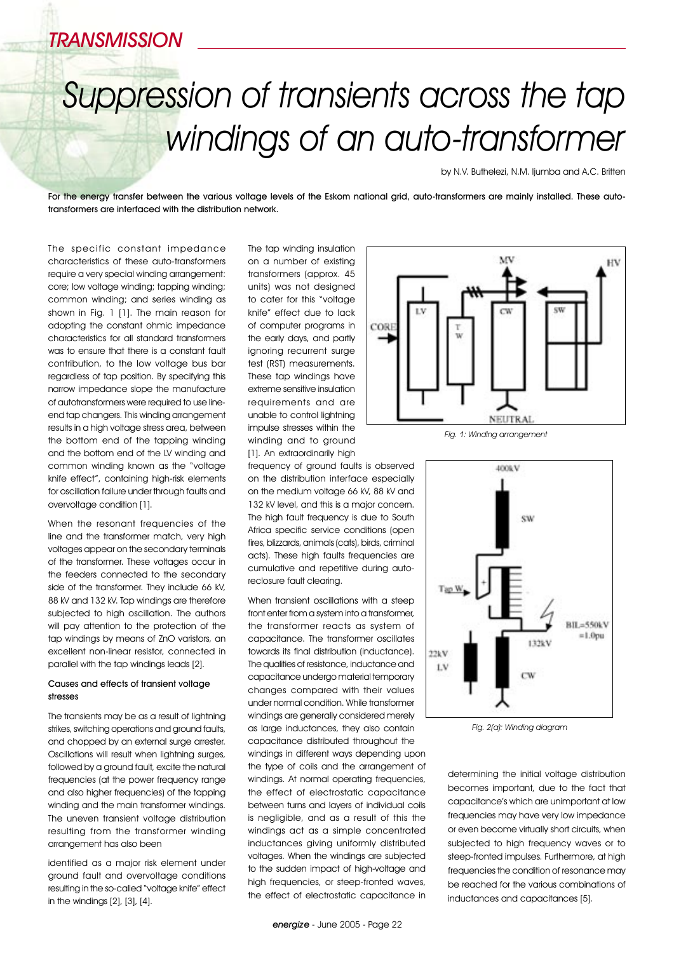## TRANSMISSION

# Suppression of transients across the tap windings of an auto-transformer

by N.V. Buthelezi, N.M. Ijumba and A.C. Britten

For the energy transfer between the various voltage levels of the Eskom national arid, auto-transformers are mainly installed. These autotransformers are interfaced with the distribution network.

The specific constant impedance characteristics of these auto-transformers require a very special winding arrangement: core; low voltage winding; tapping winding; common winding; and series winding as shown in Fig. 1 [1]. The main reason for adopting the constant ohmic impedance characteristics for all standard transformers was to ensure that there is a constant fault contribution, to the low voltage bus bar regardless of tap position. By specifying this narrow impedance slope the manufacture of autotransformers were required to use lineend tap changers. This winding arrangement results in a high voltage stress area, between the bottom end of the tapping winding and the bottom end of the LV winding and common winding known as the "voltage knife effect", containing high-risk elements for oscillation failure under through faults and overvoltage condition [1].

When the resonant frequencies of the line and the transformer match, very high voltages appear on the secondary terminals of the transformer. These voltages occur in the feeders connected to the secondary side of the transformer. They include 66 kV, 88 kV and 132 kV. Tap windings are therefore subjected to high oscillation. The authors will pay attention to the protection of the tap windings by means of ZnO varistors, an excellent non-linear resistor, connected in parallel with the tap windings leads [2].

#### Causes and effects of transient voltage stresses

The transients may be as a result of lightning strikes, switching operations and ground faults, and chopped by an external surge arrester. Oscillations will result when lightning surges, followed by a ground fault, excite the natural frequencies (at the power frequency range and also higher frequencies) of the tapping winding and the main transformer windings. The uneven transient voltage distribution resulting from the transformer winding arrangement has also been

identified as a major risk element under ground fault and overvoltage conditions resulting in the so-called "voltage knife" effect in the windings [2], [3], [4].

The tap winding insulation on a number of existing transformers (approx. 45 units) was not designed to cater for this "voltage knife" effect due to lack of computer programs in the early days, and partly ignoring recurrent surge test (RST) measurements. These tap windings have extreme sensitive insulation requirements and are unable to control lightning impulse stresses within the winding and to ground [1]. An extraordinarily high

frequency of ground faults is observed on the distribution interface especially on the medium voltage 66 kV, 88 kV and 132 kV level, and this is a major concern. The high fault frequency is due to South Africa specific service conditions (open fires, blizzards, animals (cats), birds, criminal acts). These high faults frequencies are cumulative and repetitive during autoreclosure fault clearing.

When transient oscillations with a steep front enter from a system into a transformer, the transformer reacts as system of capacitance. The transformer oscillates towards its final distribution (inductance). The qualities of resistance, inductance and capacitance undergo material temporary changes compared with their values under normal condition. While transformer windings are generally considered merely as large inductances, they also contain capacitance distributed throughout the windings in different ways depending upon the type of coils and the arrangement of windings. At normal operating frequencies the effect of electrostatic capacitance between turns and layers of individual coils is negligible, and as a result of this the windings act as a simple concentrated inductances giving uniformly distributed voltages. When the windings are subjected to the sudden impact of high-voltage and high frequencies, or steep-fronted waves, the effect of electrostatic capacitance in







determining the initial voltage distribution becomes important, due to the fact that capacitance's which are unimportant at low frequencies may have very low impedance or even become virtually short circuits, when subjected to high frequency waves or to steep-fronted impulses. Furthermore, at high frequencies the condition of resonance may be reached for the various combinations of inductances and capacitances [5].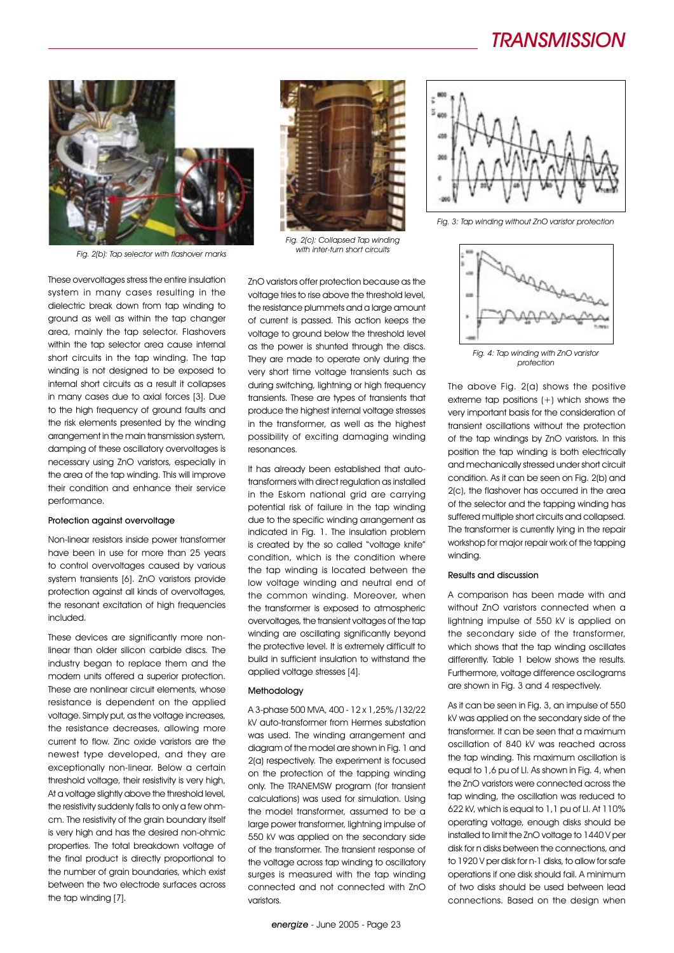### TRANSMISSION



Fig. 2(b): Tap selector with flashover marks

These overvoltages stress the entire insulation system in many cases resulting in the dielectric break down from tap winding to ground as well as within the tap changer area, mainly the tap selector. Flashovers within the tap selector area cause internal short circuits in the tap winding. The tap winding is not designed to be exposed to internal short circuits as a result it collapses in many cases due to axial forces [3]. Due to the high frequency of ground faults and the risk elements presented by the winding arrangement in the main transmission system, damping of these oscillatory overvoltages is necessary using ZnO varistors, especially in the area of the tap winding. This will improve their condition and enhance their service performance.

#### Protection against overvoltage

Non-linear resistors inside power transformer have been in use for more than 25 years to control overvoltages caused by various system transients [6]. ZnO varistors provide protection against all kinds of overvoltages, the resonant excitation of high frequencies included.

These devices are significantly more nonlinear than older silicon carbide discs. The industry began to replace them and the modern units offered a superior protection. These are nonlinear circuit elements, whose resistance is dependent on the applied voltage. Simply put, as the voltage increases, the resistance decreases, allowing more current to flow. Zinc oxide varistors are the newest type developed, and they are exceptionally non-linear. Below a certain threshold voltage, their resistivity is very high, At a voltage slightly above the threshold level, the resistivity suddenly falls to only a few ohmcm. The resistivity of the grain boundary itself is very high and has the desired non-ohmic properties. The total breakdown voltage of the final product is directly proportional to the number of grain boundaries, which exist between the two electrode surfaces across the tap winding [7].



Fig. 2(c): Collapsed Tap winding with inter-turn short circuits

ZnO varistors offer protection because as the voltage tries to rise above the threshold level, the resistance plummets and a large amount of current is passed. This action keeps the voltage to ground below the threshold level as the power is shunted through the discs. They are made to operate only during the very short time voltage transients such as during switching, lightning or high frequency transients. These are types of transients that produce the highest internal voltage stresses in the transformer, as well as the highest possibility of exciting damaging winding resonances.

It has already been established that autotransformers with direct regulation as installed in the Eskom national grid are carrying potential risk of failure in the tap winding due to the specific winding arrangement as indicated in Fig. 1. The insulation problem is created by the so called "voltage knife" condition, which is the condition where the tap winding is located between the low voltage winding and neutral end of the common winding. Moreover, when the transformer is exposed to atmospheric overvoltages, the transient voltages of the tap winding are oscillating significantly beyond the protective level. It is extremely difficult to build in sufficient insulation to withstand the applied voltage stresses [4].

#### Methodology

A 3-phase 500 MVA, 400 - 12 x 1,25% /132/22 kV auto-transformer from Hermes substation was used. The winding arrangement and diagram of the model are shown in Fig. 1 and 2(a) respectively. The experiment is focused on the protection of the tapping winding only. The TRANEMSW program (for transient calculations) was used for simulation. Using the model transformer, assumed to be a large power transformer, lightning impulse of 550 kV was applied on the secondary side of the transformer. The transient response of the voltage across tap winding to oscillatory surges is measured with the tap winding connected and not connected with ZnO varistors.



Fig. 3: Tap winding without ZnO varistor protection



Fig. 4: Tap winding with ZnO varistor protection

The above Fig. 2(a) shows the positive extreme tap positions (+) which shows the very important basis for the consideration of transient oscillations without the protection of the tap windings by ZnO varistors. In this position the tap winding is both electrically and mechanically stressed under short circuit condition. As it can be seen on Fig. 2(b) and 2(c), the flashover has occurred in the area of the selector and the tapping winding has suffered multiple short circuits and collapsed. The transformer is currently lying in the repair workshop for major repair work of the tapping winding.

#### Results and discussion

A comparison has been made with and without ZnO varistors connected when a lightning impulse of 550 kV is applied on the secondary side of the transformer, which shows that the tap winding oscillates differently. Table 1 below shows the results. Furthermore, voltage difference oscilograms are shown in Fig. 3 and 4 respectively.

As it can be seen in Fig. 3, an impulse of 550 kV was applied on the secondary side of the transformer. It can be seen that a maximum oscillation of 840 kV was reached across the tap winding. This maximum oscillation is equal to 1,6 pu of LI. As shown in Fig. 4, when the ZnO varistors were connected across the tap winding, the oscillation was reduced to 622 kV, which is equal to 1,1 pu of LI. At 110% operating voltage, enough disks should be installed to limit the ZnO voltage to 1440 V per disk for n disks between the connections, and to 1920 V per disk for n-1 disks, to allow for safe operations if one disk should fail. A minimum of two disks should be used between lead connections. Based on the design when